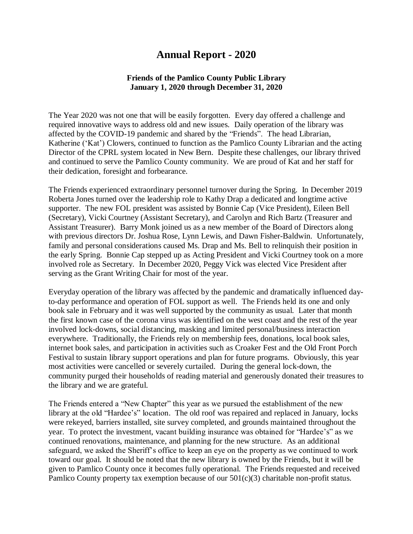## **Annual Report - 2020**

## **Friends of the Pamlico County Public Library January 1, 2020 through December 31, 2020**

The Year 2020 was not one that will be easily forgotten. Every day offered a challenge and required innovative ways to address old and new issues. Daily operation of the library was affected by the COVID-19 pandemic and shared by the "Friends". The head Librarian, Katherine ('Kat') Clowers, continued to function as the Pamlico County Librarian and the acting Director of the CPRL system located in New Bern. Despite these challenges, our library thrived and continued to serve the Pamlico County community. We are proud of Kat and her staff for their dedication, foresight and forbearance.

The Friends experienced extraordinary personnel turnover during the Spring. In December 2019 Roberta Jones turned over the leadership role to Kathy Drap a dedicated and longtime active supporter. The new FOL president was assisted by Bonnie Cap (Vice President), Eileen Bell (Secretary), Vicki Courtney (Assistant Secretary), and Carolyn and Rich Bartz (Treasurer and Assistant Treasurer). Barry Monk joined us as a new member of the Board of Directors along with previous directors Dr. Joshua Rose, Lynn Lewis, and Dawn Fisher-Baldwin. Unfortunately, family and personal considerations caused Ms. Drap and Ms. Bell to relinquish their position in the early Spring. Bonnie Cap stepped up as Acting President and Vicki Courtney took on a more involved role as Secretary. In December 2020, Peggy Vick was elected Vice President after serving as the Grant Writing Chair for most of the year.

Everyday operation of the library was affected by the pandemic and dramatically influenced dayto-day performance and operation of FOL support as well. The Friends held its one and only book sale in February and it was well supported by the community as usual. Later that month the first known case of the corona virus was identified on the west coast and the rest of the year involved lock-downs, social distancing, masking and limited personal/business interaction everywhere. Traditionally, the Friends rely on membership fees, donations, local book sales, internet book sales, and participation in activities such as Croaker Fest and the Old Front Porch Festival to sustain library support operations and plan for future programs. Obviously, this year most activities were cancelled or severely curtailed. During the general lock-down, the community purged their households of reading material and generously donated their treasures to the library and we are grateful.

The Friends entered a "New Chapter" this year as we pursued the establishment of the new library at the old "Hardee's" location. The old roof was repaired and replaced in January, locks were rekeyed, barriers installed, site survey completed, and grounds maintained throughout the year. To protect the investment, vacant building insurance was obtained for "Hardee's" as we continued renovations, maintenance, and planning for the new structure. As an additional safeguard, we asked the Sheriff's office to keep an eye on the property as we continued to work toward our goal. It should be noted that the new library is owned by the Friends, but it will be given to Pamlico County once it becomes fully operational. The Friends requested and received Pamlico County property tax exemption because of our  $501(c)(3)$  charitable non-profit status.